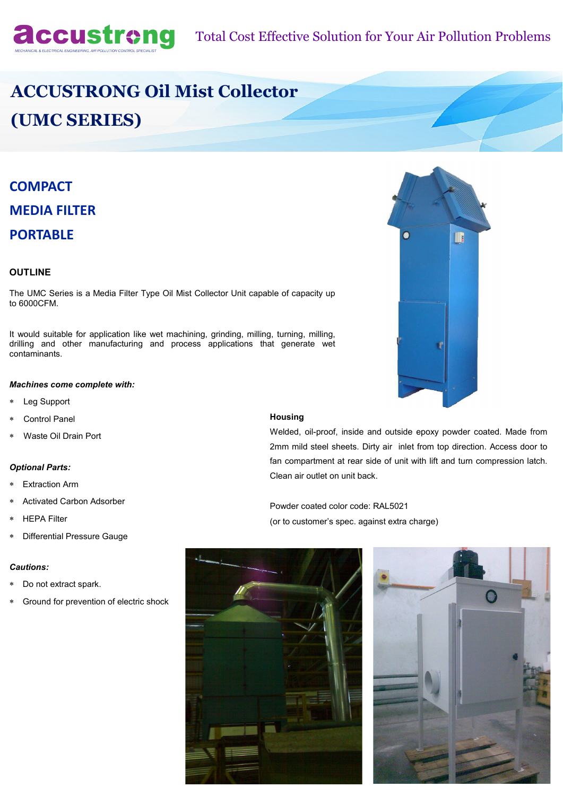

# **ACCUSTRONG Oil Mist Collector (UMC SERIES)**

## **COMPACT MEDIA FILTER PORTABLE**

### **OUTLINE**

The UMC Series is a Media Filter Type Oil Mist Collector Unit capable of capacity up to 6000CFM.

It would suitable for application like wet machining, grinding, milling, turning, milling, drilling and other manufacturing and process applications that generate wet contaminants.

#### *Machines come complete with:*

- Leg Support
- Control Panel
- Waste Oil Drain Port

#### *Optional Parts:*

- Extraction Arm
- Activated Carbon Adsorber
- HEPA Filter
- Differential Pressure Gauge

#### *Cautions:*

- Do not extract spark.
- Ground for prevention of electric shock

#### **Housing**

Welded, oil-proof, inside and outside epoxy powder coated. Made from 2mm mild steel sheets. Dirty air inlet from top direction. Access door to fan compartment at rear side of unit with lift and turn compression latch. Clean air outlet on unit back.

Powder coated color code: RAL5021 (or to customer's spec. against extra charge)